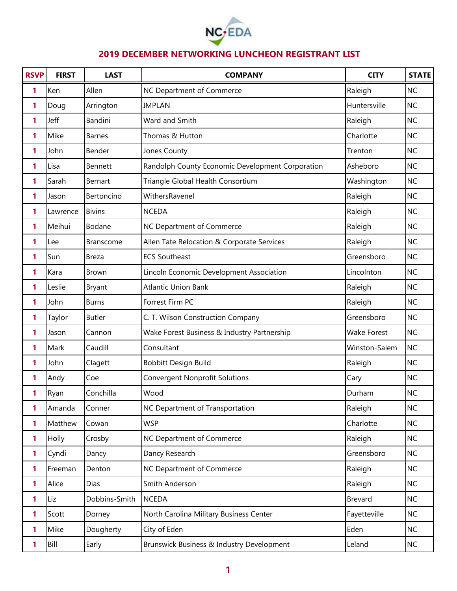

| <b>RSVP</b> | <b>FIRST</b> | <b>LAST</b>      | <b>COMPANY</b>                                   | <b>CITY</b>        | <b>STATE</b> |
|-------------|--------------|------------------|--------------------------------------------------|--------------------|--------------|
| 1           | Ken          | Allen            | NC Department of Commerce                        | Raleigh            | <b>NC</b>    |
| 1           | Doug         | Arrington        | <b>IMPLAN</b>                                    | Huntersville       | <b>NC</b>    |
| 1           | Jeff         | Bandini          | Ward and Smith                                   | Raleigh            | <b>NC</b>    |
| 1           | Mike         | <b>Barnes</b>    | Thomas & Hutton                                  | Charlotte          | <b>NC</b>    |
| 1           | John         | Bender           | Jones County                                     | Trenton            | <b>NC</b>    |
| 1           | Lisa         | Bennett          | Randolph County Economic Development Corporation | Asheboro           | <b>NC</b>    |
| 1           | Sarah        | Bernart          | Triangle Global Health Consortium                | Washington         | <b>NC</b>    |
| 1           | Jason        | Bertoncino       | WithersRavenel                                   | Raleigh            | <b>NC</b>    |
| 1           | Lawrence     | <b>Bivins</b>    | <b>NCEDA</b>                                     | Raleigh            | <b>NC</b>    |
| 1           | Meihui       | Bodane           | NC Department of Commerce                        | Raleigh            | <b>NC</b>    |
| 1           | Lee          | <b>Branscome</b> | Allen Tate Relocation & Corporate Services       | Raleigh            | <b>NC</b>    |
| 1           | Sun          | Breza            | <b>ECS Southeast</b>                             | Greensboro         | <b>NC</b>    |
| 1           | Kara         | Brown            | Lincoln Economic Development Association         | Lincolnton         | <b>NC</b>    |
| 1           | Leslie       | <b>Bryant</b>    | <b>Atlantic Union Bank</b>                       | Raleigh            | <b>NC</b>    |
| 1           | John         | <b>Burns</b>     | Forrest Firm PC                                  | Raleigh            | <b>NC</b>    |
| 1           | Taylor       | <b>Butler</b>    | C. T. Wilson Construction Company                | Greensboro         | <b>NC</b>    |
| 1           | Jason        | Cannon           | Wake Forest Business & Industry Partnership      | <b>Wake Forest</b> | <b>NC</b>    |
| 1           | Mark         | Caudill          | Consultant                                       | Winston-Salem      | <b>NC</b>    |
| 1           | John         | Clagett          | Bobbitt Design Build                             | Raleigh            | <b>NC</b>    |
| 1           | Andy         | Coe              | <b>Convergent Nonprofit Solutions</b>            | Cary               | <b>NC</b>    |
| 1           | Ryan         | Conchilla        | Wood                                             | Durham             | <b>NC</b>    |
| 1           | Amanda       | Conner           | NC Department of Transportation                  | Raleigh            | <b>NC</b>    |
| 1           | Matthew      | Cowan            | <b>WSP</b>                                       | Charlotte          | <b>NC</b>    |
| 1           | Holly        | Crosby           | NC Department of Commerce                        | Raleigh            | <b>NC</b>    |
| 1           | Cyndi        | Dancy            | Dancy Research                                   | Greensboro         | <b>NC</b>    |
| 1           | Freeman      | Denton           | NC Department of Commerce                        | Raleigh            | <b>NC</b>    |
| 1           | Alice        | Dias             | Smith Anderson                                   | Raleigh            | <b>NC</b>    |
| 1           | Liz          | Dobbins-Smith    | <b>NCEDA</b>                                     | <b>Brevard</b>     | <b>NC</b>    |
| 1           | Scott        | Dorney           | North Carolina Military Business Center          | Fayetteville       | <b>NC</b>    |
| 1           | Mike         | Dougherty        | City of Eden                                     | Eden               | <b>NC</b>    |
| 1           | Bill         | Early            | Brunswick Business & Industry Development        | Leland             | <b>NC</b>    |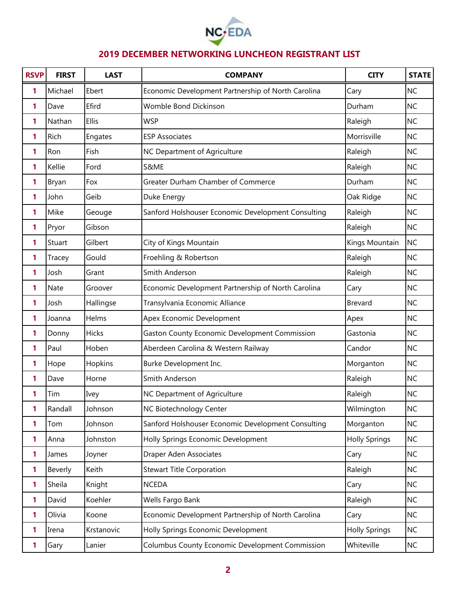

| <b>RSVP</b>  | <b>FIRST</b> | <b>LAST</b>  | <b>COMPANY</b>                                     | <b>CITY</b>          | <b>STATE</b> |
|--------------|--------------|--------------|----------------------------------------------------|----------------------|--------------|
| 1            | Michael      | Ebert        | Economic Development Partnership of North Carolina | Cary                 | <b>NC</b>    |
| 1            | Dave         | Efird        | <b>Womble Bond Dickinson</b>                       | Durham               | <b>NC</b>    |
| 1            | Nathan       | Ellis        | <b>WSP</b>                                         | Raleigh              | <b>NC</b>    |
| 1            | Rich         | Engates      | <b>ESP Associates</b>                              | Morrisville          | <b>NC</b>    |
| 1            | Ron          | Fish         | NC Department of Agriculture                       | Raleigh              | <b>NC</b>    |
| 1            | Kellie       | Ford         | S&ME                                               | Raleigh              | <b>NC</b>    |
| 1            | Bryan        | Fox          | Greater Durham Chamber of Commerce                 | Durham               | <b>NC</b>    |
| 1            | John         | Geib         | Duke Energy                                        | Oak Ridge            | <b>NC</b>    |
| 1            | Mike         | Geouge       | Sanford Holshouser Economic Development Consulting | Raleigh              | <b>NC</b>    |
| 1            | Pryor        | Gibson       |                                                    | Raleigh              | <b>NC</b>    |
| 1            | Stuart       | Gilbert      | City of Kings Mountain                             | Kings Mountain       | <b>NC</b>    |
| 1            | Tracey       | Gould        | Froehling & Robertson                              | Raleigh              | <b>NC</b>    |
| 1            | Josh         | Grant        | Smith Anderson                                     | Raleigh              | <b>NC</b>    |
| 1            | Nate         | Groover      | Economic Development Partnership of North Carolina | Cary                 | <b>NC</b>    |
| 1            | Josh         | Hallingse    | Transylvania Economic Alliance                     | Brevard              | <b>NC</b>    |
| 1            | Joanna       | Helms        | Apex Economic Development                          | Apex                 | <b>NC</b>    |
| 1            | Donny        | <b>Hicks</b> | Gaston County Economic Development Commission      | Gastonia             | <b>NC</b>    |
| 1            | Paul         | Hoben        | Aberdeen Carolina & Western Railway                | Candor               | <b>NC</b>    |
| 1            | Hope         | Hopkins      | Burke Development Inc.                             | Morganton            | <b>NC</b>    |
| 1            | Dave         | Horne        | Smith Anderson                                     | Raleigh              | <b>NC</b>    |
| 1            | Tim          | Ivey         | NC Department of Agriculture                       | Raleigh              | <b>NC</b>    |
| 1            | Randall      | Johnson      | NC Biotechnology Center                            | Wilmington           | <b>NC</b>    |
| $\mathbf{1}$ | Tom          | Johnson      | Sanford Holshouser Economic Development Consulting | Morganton            | <b>NC</b>    |
| 1            | Anna         | Johnston     | Holly Springs Economic Development                 | <b>Holly Springs</b> | <b>NC</b>    |
| 1            | James        | Joyner       | Draper Aden Associates                             | Cary                 | <b>NC</b>    |
| 1            | Beverly      | Keith        | <b>Stewart Title Corporation</b>                   | Raleigh              | <b>NC</b>    |
| 1            | Sheila       | Knight       | <b>NCEDA</b>                                       | Cary                 | <b>NC</b>    |
| 1            | David        | Koehler      | Wells Fargo Bank                                   | Raleigh              | <b>NC</b>    |
| 1            | Olivia       | Koone        | Economic Development Partnership of North Carolina | Cary                 | <b>NC</b>    |
| 1            | Irena        | Krstanovic   | Holly Springs Economic Development                 | <b>Holly Springs</b> | <b>NC</b>    |
| 1            | Gary         | Lanier       | Columbus County Economic Development Commission    | Whiteville           | NC           |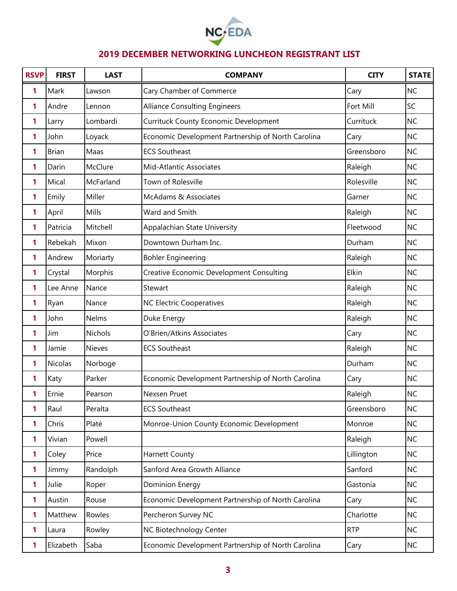

| <b>RSVP</b> | <b>FIRST</b>   | <b>LAST</b>   | <b>COMPANY</b>                                     | <b>CITY</b> | <b>STATE</b> |
|-------------|----------------|---------------|----------------------------------------------------|-------------|--------------|
| 1           | Mark           | Lawson        | Cary Chamber of Commerce                           | Cary        | <b>NC</b>    |
| 1           | Andre          | Lennon        | <b>Alliance Consulting Engineers</b>               | Fort Mill   | SC           |
| 1           | Larry          | Lombardi      | <b>Currituck County Economic Development</b>       | Currituck   | <b>NC</b>    |
| 1           | John           | Loyack        | Economic Development Partnership of North Carolina | Cary        | <b>NC</b>    |
| 1           | <b>Brian</b>   | Maas          | <b>ECS Southeast</b>                               | Greensboro  | <b>NC</b>    |
| 1           | Darin          | McClure       | <b>Mid-Atlantic Associates</b>                     | Raleigh     | <b>NC</b>    |
| 1           | Mical          | McFarland     | Town of Rolesville                                 | Rolesville  | <b>NC</b>    |
| 1           | Emily          | Miller        | McAdams & Associates                               | Garner      | <b>NC</b>    |
| 1           | April          | Mills         | Ward and Smith                                     | Raleigh     | <b>NC</b>    |
| 1           | Patricia       | Mitchell      | Appalachian State University                       | Fleetwood   | <b>NC</b>    |
| 1           | Rebekah        | Mixon         | Downtown Durham Inc.                               | Durham      | <b>NC</b>    |
| 1           | Andrew         | Moriarty      | <b>Bohler Engineering</b>                          | Raleigh     | <b>NC</b>    |
| 1           | Crystal        | Morphis       | <b>Creative Economic Development Consulting</b>    | Elkin       | <b>NC</b>    |
| 1           | Lee Anne       | Nance         | Stewart                                            | Raleigh     | <b>NC</b>    |
| 1           | Ryan           | Nance         | <b>NC Electric Cooperatives</b>                    | Raleigh     | <b>NC</b>    |
| 1           | John           | Nelms         | Duke Energy                                        | Raleigh     | <b>NC</b>    |
| 1           | Jim            | Nichols       | O'Brien/Atkins Associates                          | Cary        | <b>NC</b>    |
| 1           | Jamie          | <b>Nieves</b> | <b>ECS Southeast</b>                               | Raleigh     | <b>NC</b>    |
| 1           | <b>Nicolas</b> | Norboge       |                                                    | Durham      | <b>NC</b>    |
| 1           | Katy           | Parker        | Economic Development Partnership of North Carolina | Cary        | <b>NC</b>    |
| 1           | Ernie          | Pearson       | Nexsen Pruet                                       | Raleigh     | <b>NC</b>    |
| 1           | Raul           | Peralta       | <b>ECS Southeast</b>                               | Greensboro  | <b>NC</b>    |
| 1           | Chris          | Platé         | Monroe-Union County Economic Development           | Monroe      | <b>NC</b>    |
| 1           | Vivian         | Powell        |                                                    | Raleigh     | <b>NC</b>    |
| 1           | Coley          | Price         | <b>Harnett County</b>                              | Lillington  | <b>NC</b>    |
| 1           | Jimmy          | Randolph      | Sanford Area Growth Alliance                       | Sanford     | <b>NC</b>    |
| 1           | Julie          | Roper         | Dominion Energy                                    | Gastonia    | <b>NC</b>    |
| 1           | Austin         | Rouse         | Economic Development Partnership of North Carolina | Cary        | <b>NC</b>    |
| 1           | Matthew        | Rowles        | Percheron Survey NC                                | Charlotte   | <b>NC</b>    |
| 1           | Laura          | Rowley        | NC Biotechnology Center                            | <b>RTP</b>  | <b>NC</b>    |
| 1           | Elizabeth      | Saba          | Economic Development Partnership of North Carolina | Cary        | <b>NC</b>    |